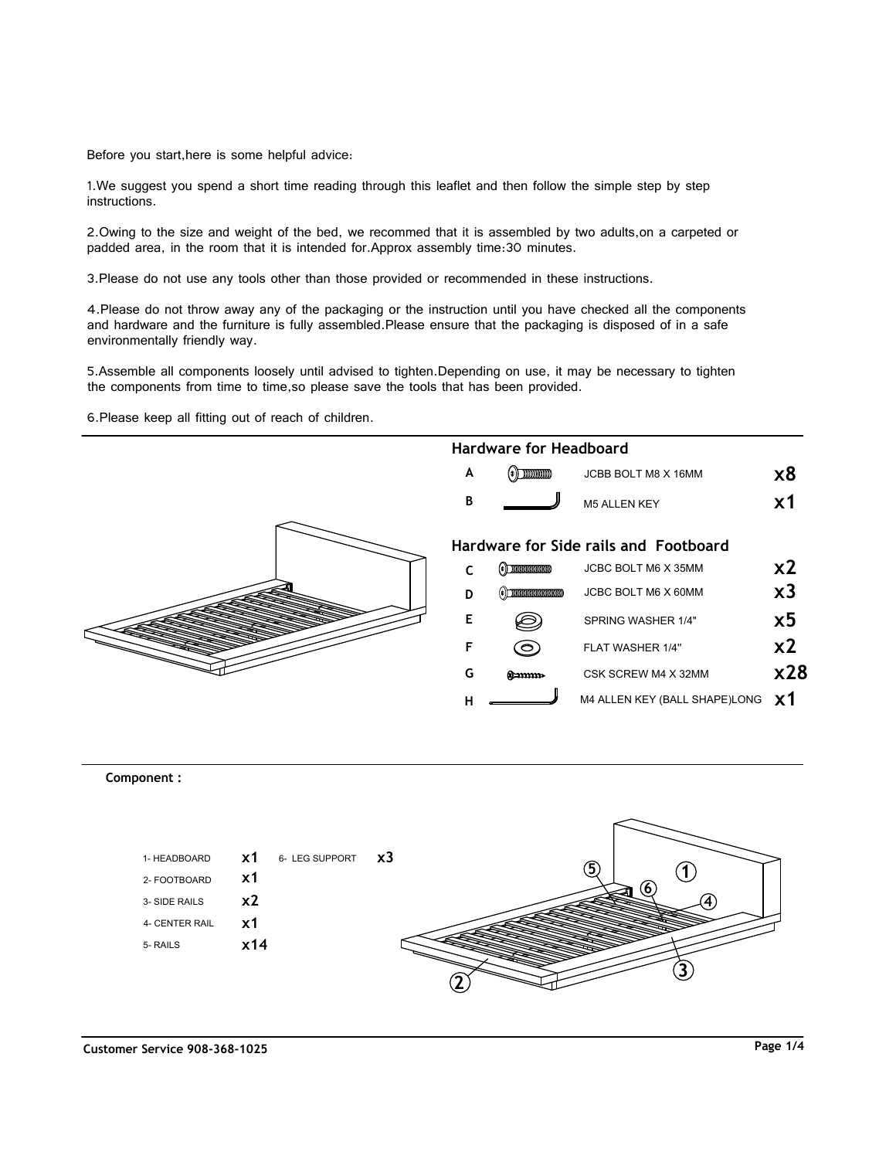Thank you for purchasing the **MODWAY BED !** Before you start,here is some helpful advice:

1.We suggest you spend a short time reading through this leaflet and then follow the simple step by step instructions.

2.Owing to the size and weight of the bed, we recommed that it is assembled by two adults,on a carpeted or padded area, in the room that it is intended for.Approx assembly time:30 minutes.

3.Please do not use any tools other than those provided or recommended in these instructions.

4.Please do not throw away any of the packaging or the instruction until you have checked all the components and hardware and the furniture is fully assembled.Please ensure that the packaging is disposed of in a safe environmentally friendly way.

5.Assemble all components loosely until advised to tighten.Depending on use, it may be necessary to tighten the components from time to time,so please save the tools that has been provided.

6.Please keep all fitting out of reach of children.



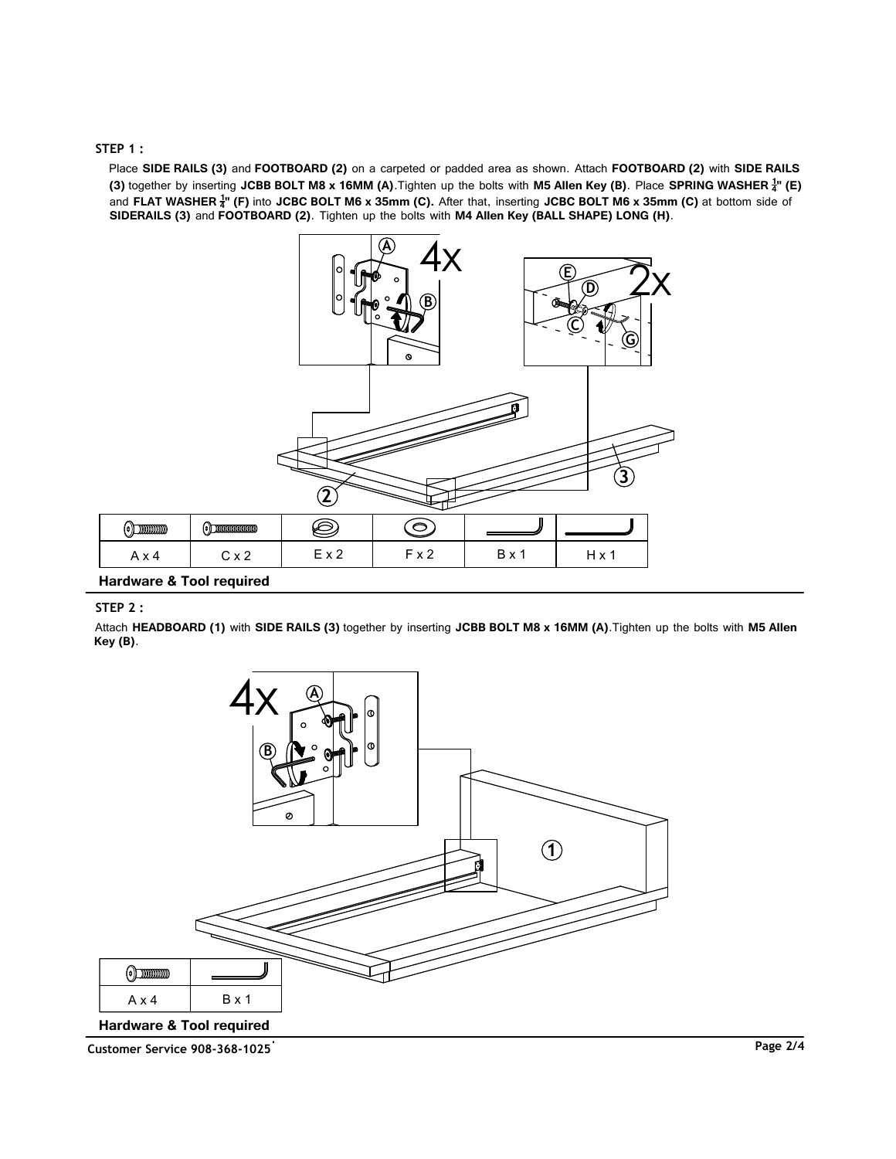### **STEP 1 :**

**Place** Place **SIDE RAILS (3)** and **FOOTBOARD (2)** on a carpeted or padded area as shown. Attach **FOOTBOARD (2)** with **SIDE RAILS** and **FLAT WASHER <sup>1</sup>''** (F) into JCBC BOLT M6 x 35mm (C). After that, inserting JCBC BOLT M6 x 35mm (C) at bottom side of **(3)** together by inserting **JCBB BOLT M8 x 16MM (A)**.Tighten up the bolts with **M5 Allen Key (B)**. Place **SPRING WASHER <sup>1</sup> 4" (E) SIDERAILS (3)** and **FOOTBOARD (2)**. Tighten up the bolts with **M4 Allen Key (BALL SHAPE) LONG (H)**.



# **Hardware & Tool required**

## **STEP 2 :**

Attach **HEADBOARD (1)** with **SIDE RAILS (3)** together by inserting **JCBB BOLT M8 x 16MM (A)**.Tighten up the bolts with **M5 Allen Key (B)**.



**Customer Service 908-368-1025 Page 2/4**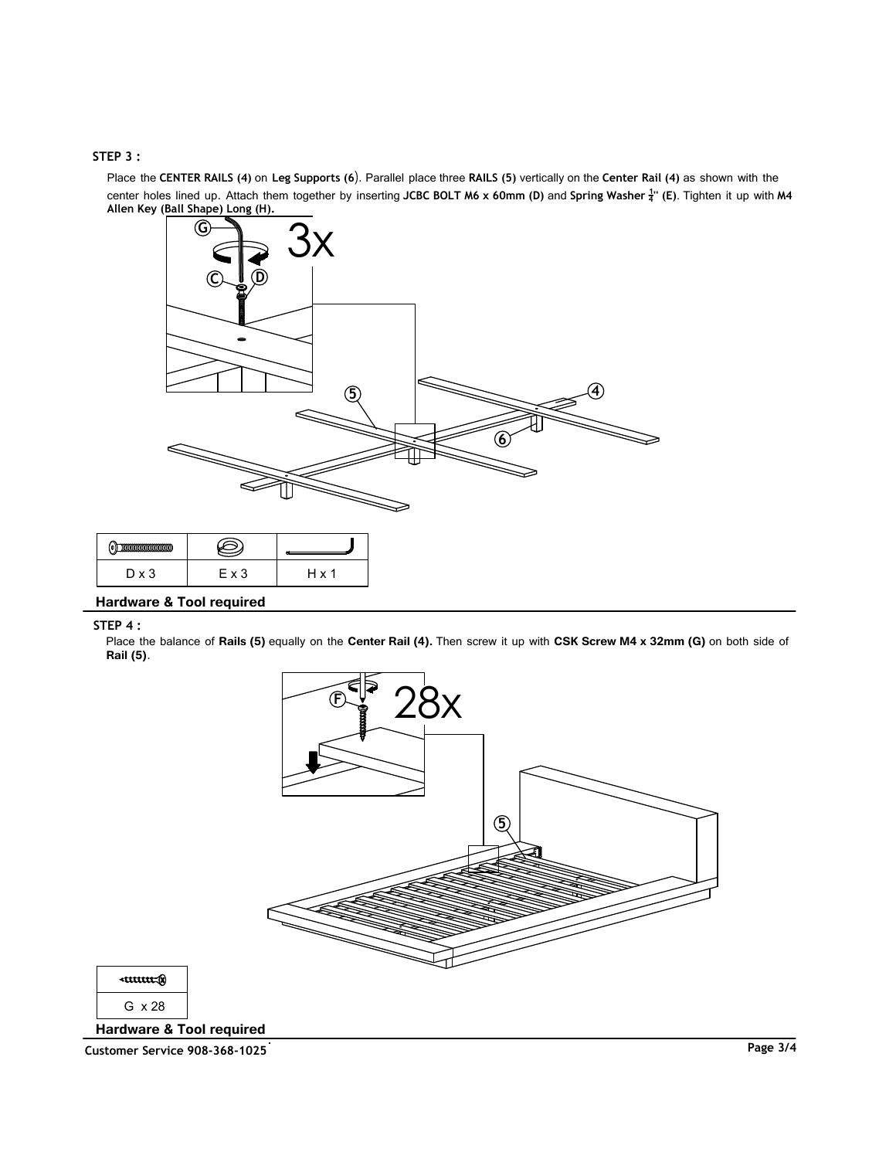# **STEP 3 :**

**Place** Place the **CENTER RAILS (4)** on **Leg Supports (6**). Parallel place three **RAILS (5)** vertically on the **Center Rail (4)** as shown with the **Place Allen Key (Ball Shape) Long (H).** center holes lined up. Attach them together by inserting **JCBC BOLT M6 x 60mm (D)** and **Spring Washer 1 <sup>4</sup>'' (E)**. Tighten it up with **M4**



| $D \times 3$ | E x 3 | H x · |
|--------------|-------|-------|

**Hardware & Tool required**

### **STEP 4 :**

Place the balance of **Rails (5)** equally on the **Center Rail (4).** Then screw it up with **CSK Screw M4 x 32mm (G)** on both side of **Rail (5)**.



G x 28

 $curve(x)$